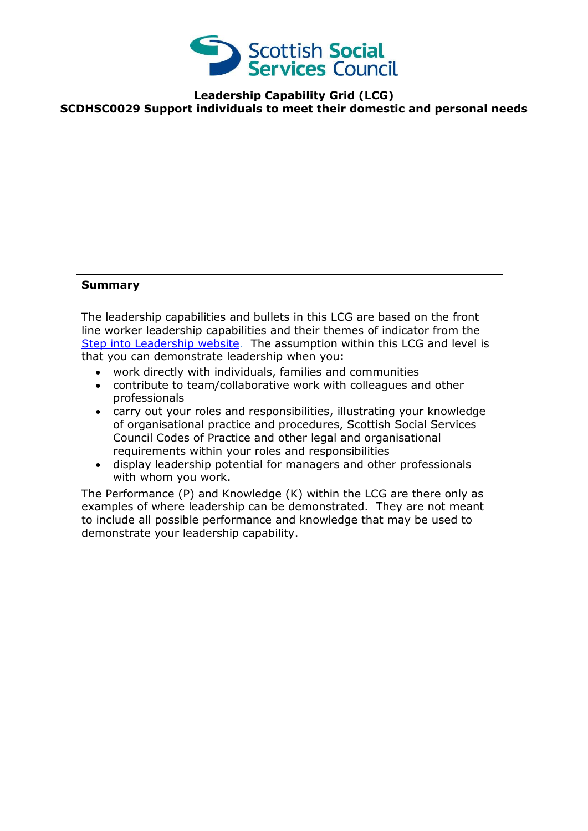

**Leadership Capability Grid (LCG) SCDHSC0029 Support individuals to meet their domestic and personal needs** 

## **Summary**

The leadership capabilities and bullets in this LCG are based on the front line worker leadership capabilities and their themes of indicator from the [Step into Leadership website.](http://www.stepintoleadership.info/) The assumption within this LCG and level is that you can demonstrate leadership when you:

- work directly with individuals, families and communities
- contribute to team/collaborative work with colleagues and other professionals
- carry out your roles and responsibilities, illustrating your knowledge of organisational practice and procedures, Scottish Social Services Council Codes of Practice and other legal and organisational requirements within your roles and responsibilities
- display leadership potential for managers and other professionals with whom you work.

The Performance (P) and Knowledge (K) within the LCG are there only as examples of where leadership can be demonstrated. They are not meant to include all possible performance and knowledge that may be used to demonstrate your leadership capability.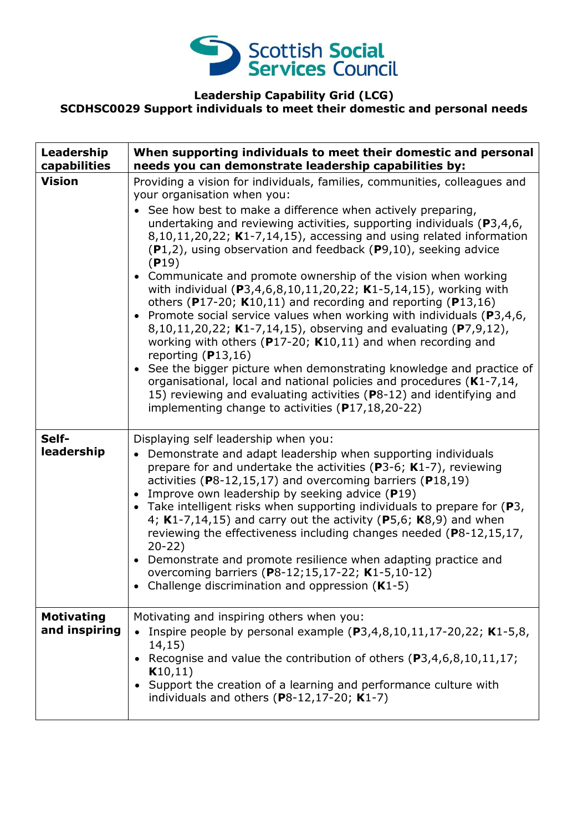

## **Leadership Capability Grid (LCG) SCDHSC0029 Support individuals to meet their domestic and personal needs**

| Leadership<br>capabilities         | When supporting individuals to meet their domestic and personal<br>needs you can demonstrate leadership capabilities by:                                                                                                                                                                                                                                                                                                                                                                                                                                                                                                                                                                                                                                                                                                                                                                                                                                                                                                                                                                                                                                    |
|------------------------------------|-------------------------------------------------------------------------------------------------------------------------------------------------------------------------------------------------------------------------------------------------------------------------------------------------------------------------------------------------------------------------------------------------------------------------------------------------------------------------------------------------------------------------------------------------------------------------------------------------------------------------------------------------------------------------------------------------------------------------------------------------------------------------------------------------------------------------------------------------------------------------------------------------------------------------------------------------------------------------------------------------------------------------------------------------------------------------------------------------------------------------------------------------------------|
| <b>Vision</b>                      | Providing a vision for individuals, families, communities, colleagues and<br>your organisation when you:<br>• See how best to make a difference when actively preparing,<br>undertaking and reviewing activities, supporting individuals ( $P3,4,6$ ,<br>$8,10,11,20,22$ ; K1-7,14,15), accessing and using related information<br>$(P1,2)$ , using observation and feedback $(P9,10)$ , seeking advice<br>(P19)<br>• Communicate and promote ownership of the vision when working<br>with individual ( $P3,4,6,8,10,11,20,22$ ; K1-5,14,15), working with<br>others (P17-20; $K10,11$ ) and recording and reporting (P13,16)<br>• Promote social service values when working with individuals ( $P3,4,6$ ,<br>8,10,11,20,22; K1-7,14,15), observing and evaluating (P7,9,12),<br>working with others ( $P17-20$ ; K10,11) and when recording and<br>reporting $(P13,16)$<br>• See the bigger picture when demonstrating knowledge and practice of<br>organisational, local and national policies and procedures (K1-7,14,<br>15) reviewing and evaluating activities (P8-12) and identifying and<br>implementing change to activities $(P17, 18, 20 - 22)$ |
| Self-<br>leadership                | Displaying self leadership when you:<br>Demonstrate and adapt leadership when supporting individuals<br>prepare for and undertake the activities ( $P3-6$ ; K1-7), reviewing<br>activities (P8-12,15,17) and overcoming barriers (P18,19)<br>Improve own leadership by seeking advice (P19)<br>• Take intelligent risks when supporting individuals to prepare for (P3,<br>4; $K1-7,14,15$ ) and carry out the activity (P5,6; $K8,9$ ) and when<br>reviewing the effectiveness including changes needed (P8-12,15,17,<br>$20-22)$<br>Demonstrate and promote resilience when adapting practice and<br>overcoming barriers (P8-12;15,17-22; K1-5,10-12)<br>Challenge discrimination and oppression $(K1-5)$                                                                                                                                                                                                                                                                                                                                                                                                                                                 |
| <b>Motivating</b><br>and inspiring | Motivating and inspiring others when you:<br>Inspire people by personal example $(P3,4,8,10,11,17-20,22; K1-5,8,$<br>14,15)<br>Recognise and value the contribution of others (P3,4,6,8,10,11,17;<br>K10,11)<br>Support the creation of a learning and performance culture with<br>individuals and others $(P8-12, 17-20; K1-7)$                                                                                                                                                                                                                                                                                                                                                                                                                                                                                                                                                                                                                                                                                                                                                                                                                            |